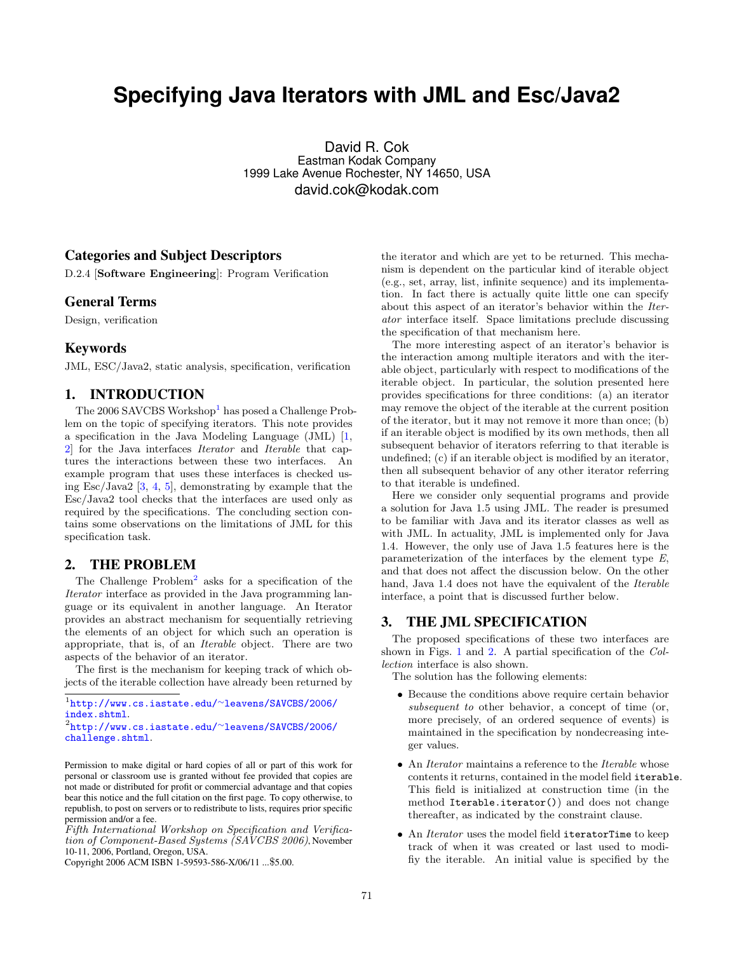# **Specifying Java Iterators with JML and Esc/Java2**

David R. Cok Eastman Kodak Company 1999 Lake Avenue Rochester, NY 14650, USA david.cok@kodak.com

### Categories and Subject Descriptors

D.2.4 [Software Engineering]: Program Verification

### General Terms

Design, verification

### Keywords

JML, ESC/Java2, static analysis, specification, verification

# 1. INTRODUCTION

The  $2006$  SAVCBS Workshop<sup>[1](#page-0-0)</sup> has posed a Challenge Problem on the topic of specifying iterators. This note provides a specification in the Java Modeling Language (JML) [\[1,](#page-3-0) [2\]](#page-3-1) for the Java interfaces Iterator and Iterable that captures the interactions between these two interfaces. An example program that uses these interfaces is checked using Esc/Java2 [\[3,](#page-3-2) [4,](#page-3-3) [5\]](#page-3-4), demonstrating by example that the Esc/Java2 tool checks that the interfaces are used only as required by the specifications. The concluding section contains some observations on the limitations of JML for this specification task.

### 2. THE PROBLEM

The Challenge Problem<sup>[2](#page-0-1)</sup> asks for a specification of the Iterator interface as provided in the Java programming language or its equivalent in another language. An Iterator provides an abstract mechanism for sequentially retrieving the elements of an object for which such an operation is appropriate, that is, of an Iterable object. There are two aspects of the behavior of an iterator.

The first is the mechanism for keeping track of which objects of the iterable collection have already been returned by

<span id="page-0-0"></span>1 [http://www.cs.iastate.edu/](http://www.cs.iastate.edu/~leavens/SAVCBS/2006/index.shtml)<sup>∼</sup>leavens/SAVCBS/2006/ [index.shtml](http://www.cs.iastate.edu/~leavens/SAVCBS/2006/index.shtml).

Fifth International Workshop on Specification and Verification of Component-Based Systems (SAVCBS 2006), November 10-11, 2006, Portland, Oregon, USA.

Copyright 2006 ACM ISBN 1-59593-586-X/06/11 ...\$5.00.

the iterator and which are yet to be returned. This mechanism is dependent on the particular kind of iterable object (e.g., set, array, list, infinite sequence) and its implementation. In fact there is actually quite little one can specify about this aspect of an iterator's behavior within the Iterator interface itself. Space limitations preclude discussing the specification of that mechanism here.

The more interesting aspect of an iterator's behavior is the interaction among multiple iterators and with the iterable object, particularly with respect to modifications of the iterable object. In particular, the solution presented here provides specifications for three conditions: (a) an iterator may remove the object of the iterable at the current position of the iterator, but it may not remove it more than once; (b) if an iterable object is modified by its own methods, then all subsequent behavior of iterators referring to that iterable is undefined; (c) if an iterable object is modified by an iterator, then all subsequent behavior of any other iterator referring to that iterable is undefined.

Here we consider only sequential programs and provide a solution for Java 1.5 using JML. The reader is presumed to be familiar with Java and its iterator classes as well as with JML. In actuality, JML is implemented only for Java 1.4. However, the only use of Java 1.5 features here is the parameterization of the interfaces by the element type E, and that does not affect the discussion below. On the other hand, Java 1.4 does not have the equivalent of the Iterable interface, a point that is discussed further below.

### 3. THE JML SPECIFICATION

The proposed specifications of these two interfaces are shown in Figs. [1](#page-1-0) and [2.](#page-1-1) A partial specification of the Collection interface is also shown.

The solution has the following elements:

- Because the conditions above require certain behavior subsequent to other behavior, a concept of time (or, more precisely, of an ordered sequence of events) is maintained in the specification by nondecreasing integer values.
- An *Iterator* maintains a reference to the *Iterable* whose contents it returns, contained in the model field iterable. This field is initialized at construction time (in the method Iterable.iterator()) and does not change thereafter, as indicated by the constraint clause.
- An *Iterator* uses the model field iteratorTime to keep track of when it was created or last used to modifiy the iterable. An initial value is specified by the

<span id="page-0-1"></span><sup>2</sup> [http://www.cs.iastate.edu/](http://www.cs.iastate.edu/~leavens/SAVCBS/2006/challenge.shtml)<sup>∼</sup>leavens/SAVCBS/2006/ [challenge.shtml](http://www.cs.iastate.edu/~leavens/SAVCBS/2006/challenge.shtml).

Permission to make digital or hard copies of all or part of this work for personal or classroom use is granted without fee provided that copies are not made or distributed for profit or commercial advantage and that copies bear this notice and the full citation on the first page. To copy otherwise, to republish, to post on servers or to redistribute to lists, requires prior specific permission and/or a fee.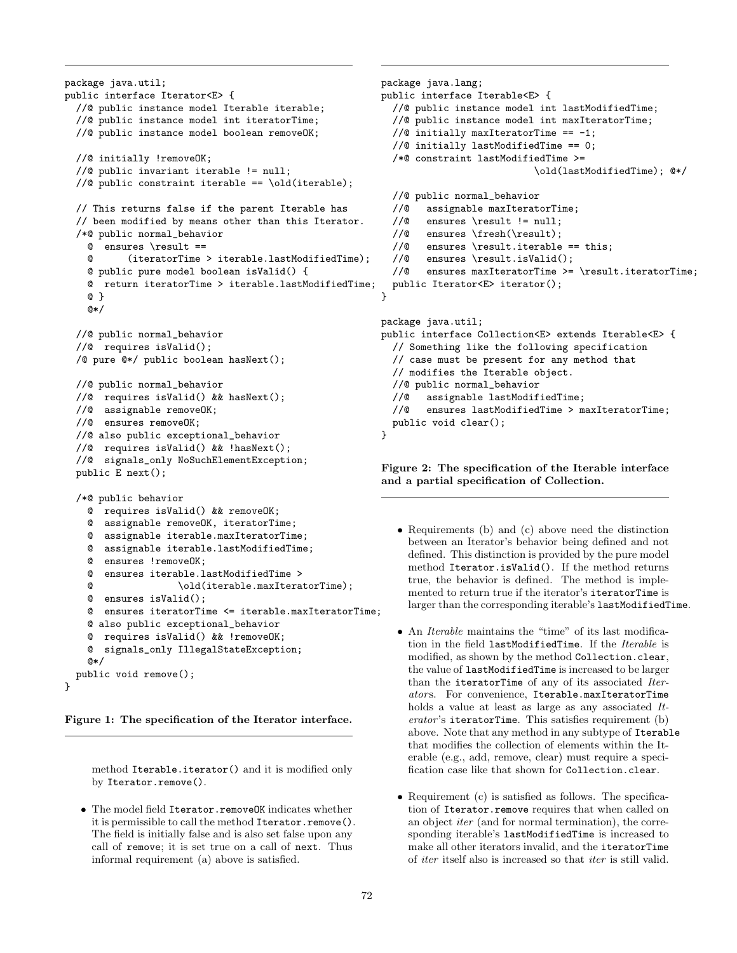```
package java.util;
public interface Iterator<E> {
  //@ public instance model Iterable iterable;
  //@ public instance model int iteratorTime;
 //@ public instance model boolean removeOK;
  //@ initially !removeOK;
  //@ public invariant iterable != null;
 //@ public constraint iterable == \old(iterable);
 // This returns false if the parent Iterable has
  // been modified by means other than this Iterator.
  /*@ public normal_behavior
   @ ensures \result ==
   @ (iteratorTime > iterable.lastModifiedTime);
   @ public pure model boolean isValid() {
   @ return iteratorTime > iterable.lastModifiedTime;
   @ }
   @*/
 //@ public normal_behavior
 //@ requires isValid();
 /@ pure @*/ public boolean hasNext();
 //@ public normal_behavior
 //@ requires isValid() && hasNext();
 //@ assignable removeOK;
 //@ ensures removeOK;
 //@ also public exceptional_behavior
 //@ requires isValid() && !hasNext();
 //@ signals_only NoSuchElementException;
 public E next();
  /*@ public behavior
   @ requires isValid() && removeOK;
   @ assignable removeOK, iteratorTime;
   @ assignable iterable.maxIteratorTime;
   @ assignable iterable.lastModifiedTime;
      ensures Iremove\OmegaK\cdot@ ensures iterable.lastModifiedTime >
   @ \old(iterable.maxIteratorTime);
   @ ensures isValid();
   @ ensures iteratorTime <= iterable.maxIteratorTime;
   @ also public exceptional_behavior
   @ requires isValid() && !removeOK;
   @ signals_only IllegalStateException;
   @*/
 public void remove();
}
                                                        }
                                                       }
```
<span id="page-1-0"></span>Figure 1: The specification of the Iterator interface.

method Iterable.iterator() and it is modified only by Iterator.remove().

• The model field Iterator.removeOK indicates whether it is permissible to call the method Iterator.remove(). The field is initially false and is also set false upon any call of remove; it is set true on a call of next. Thus informal requirement (a) above is satisfied.

```
package java.lang;
public interface Iterable<E> {
  //@ public instance model int lastModifiedTime;
  //@ public instance model int maxIteratorTime;
  //@ initially maxIteratorTime == -1;
  //@ initially lastModifiedTime == 0;
  /*@ constraint lastModifiedTime >=
                           \old(lastModifiedTime); @*/
  //@ public normal_behavior
  //@ assignable maxIteratorTime;
  //@ ensures \result != null;
  //@ ensures \fresh(\result);
  //@ ensures \result.iterable == this;
  //@ ensures \result.isValid();
  //@ ensures maxIteratorTime >= \result.iteratorTime;
 public Iterator<E> iterator();
package java.util;
public interface Collection<E> extends Iterable<E> {
  // Something like the following specification
 // case must be present for any method that
 // modifies the Iterable object.
 //@ public normal_behavior
 //@ assignable lastModifiedTime;
 //@ ensures lastModifiedTime > maxIteratorTime;
 public void clear();
```
<span id="page-1-1"></span>Figure 2: The specification of the Iterable interface and a partial specification of Collection.

- Requirements (b) and (c) above need the distinction between an Iterator's behavior being defined and not defined. This distinction is provided by the pure model method Iterator.isValid(). If the method returns true, the behavior is defined. The method is implemented to return true if the iterator's iteratorTime is larger than the corresponding iterable's lastModifiedTime.
- An *Iterable* maintains the "time" of its last modification in the field lastModifiedTime. If the Iterable is modified, as shown by the method Collection.clear, the value of lastModifiedTime is increased to be larger than the iteratorTime of any of its associated Iterators. For convenience, Iterable.maxIteratorTime holds a value at least as large as any associated Iterator's iteratorTime. This satisfies requirement (b) above. Note that any method in any subtype of Iterable that modifies the collection of elements within the Iterable (e.g., add, remove, clear) must require a specification case like that shown for Collection.clear.
- Requirement (c) is satisfied as follows. The specification of Iterator.remove requires that when called on an object iter (and for normal termination), the corresponding iterable's lastModifiedTime is increased to make all other iterators invalid, and the iteratorTime of iter itself also is increased so that iter is still valid.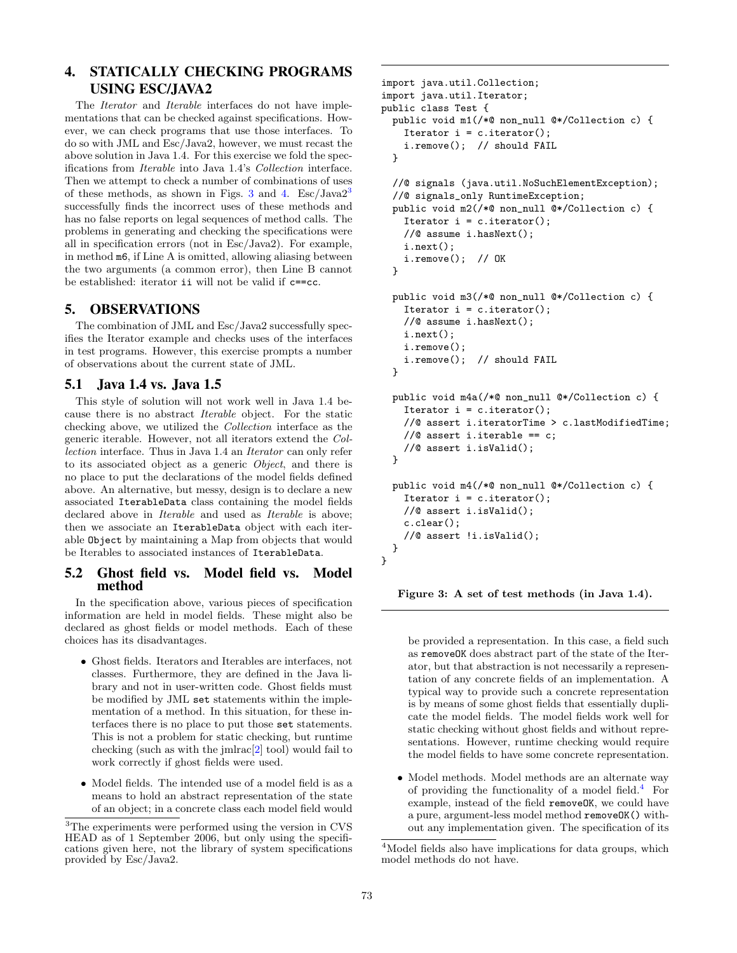# 4. STATICALLY CHECKING PROGRAMS USING ESC/JAVA2

The *Iterator* and *Iterable* interfaces do not have implementations that can be checked against specifications. However, we can check programs that use those interfaces. To do so with JML and Esc/Java2, however, we must recast the above solution in Java 1.4. For this exercise we fold the specifications from Iterable into Java 1.4's Collection interface. Then we attempt to check a number of combinations of uses of these methods, as shown in Figs. [3](#page-2-1) and [4.](#page-3-5)  $\text{Esc/Java2}^3$ successfully finds the incorrect uses of these methods and has no false reports on legal sequences of method calls. The problems in generating and checking the specifications were all in specification errors (not in Esc/Java2). For example, in method m6, if Line A is omitted, allowing aliasing between the two arguments (a common error), then Line B cannot be established: iterator ii will not be valid if c==cc.

### 5. OBSERVATIONS

The combination of JML and Esc/Java2 successfully specifies the Iterator example and checks uses of the interfaces in test programs. However, this exercise prompts a number of observations about the current state of JML.

### 5.1 Java 1.4 vs. Java 1.5

This style of solution will not work well in Java 1.4 because there is no abstract Iterable object. For the static checking above, we utilized the Collection interface as the generic iterable. However, not all iterators extend the Collection interface. Thus in Java 1.4 an Iterator can only refer to its associated object as a generic Object, and there is no place to put the declarations of the model fields defined above. An alternative, but messy, design is to declare a new associated IterableData class containing the model fields declared above in *Iterable* and used as *Iterable* is above; then we associate an IterableData object with each iterable Object by maintaining a Map from objects that would be Iterables to associated instances of IterableData.

### 5.2 Ghost field vs. Model field vs. Model method

In the specification above, various pieces of specification information are held in model fields. These might also be declared as ghost fields or model methods. Each of these choices has its disadvantages.

- Ghost fields. Iterators and Iterables are interfaces, not classes. Furthermore, they are defined in the Java library and not in user-written code. Ghost fields must be modified by JML set statements within the implementation of a method. In this situation, for these interfaces there is no place to put those set statements. This is not a problem for static checking, but runtime checking (such as with the jmlrac[\[2\]](#page-3-1) tool) would fail to work correctly if ghost fields were used.
- Model fields. The intended use of a model field is as a means to hold an abstract representation of the state of an object; in a concrete class each model field would

```
import java.util.Collection;
import java.util.Iterator;
public class Test {
  public void m1(/*@ non_null @*/Collection c) {
    Iterator i = c. iterator();
    i.remove(); // should FAIL
  }
  //@ signals (java.util.NoSuchElementException);
  //@ signals_only RuntimeException;
  public void m2(/*@ non_null @*/Collection c) {
    Iterator i = c. iterator();
    //@ assume i.hasNext();
    i.next();
    i.remove(); // OK
  }
  public void m3(/*@ non_null @*/Collection c) {
    Iterator i = c. iterator();
    //@ assume i.hasNext();
    i.next();
    i.remove();
    i.remove(); // should FAIL
  }
  public void m4a(/*@ non_null @*/Collection c) {
    Iterator i = c. iterator();
    //@ assert i.iteratorTime > c.lastModifiedTime;
    //@ assert i.iterable == c;
    //@ assert i.isValid();
  }
  public void m4(/*@ non_null @*/Collection c) {
    Iterator i = c. iterator();
    //@ assert i.isValid();
    c.clear();
    //@ assert !i.isValid();
 }
}
```
<span id="page-2-0"></span>Figure 3: A set of test methods (in Java 1.4).

be provided a representation. In this case, a field such as removeOK does abstract part of the state of the Iterator, but that abstraction is not necessarily a representation of any concrete fields of an implementation. A typical way to provide such a concrete representation is by means of some ghost fields that essentially duplicate the model fields. The model fields work well for static checking without ghost fields and without representations. However, runtime checking would require the model fields to have some concrete representation.

• Model methods. Model methods are an alternate way of providing the functionality of a model field. $4$  For example, instead of the field removeOK, we could have a pure, argument-less model method removeOK() without any implementation given. The specification of its

<span id="page-2-1"></span> $^3 \rm{The \; experiments}$  were performed using the version in CVS HEAD as of 1 September 2006, but only using the specifications given here, not the library of system specifications provided by Esc/Java2.

<span id="page-2-2"></span><sup>&</sup>lt;sup>4</sup>Model fields also have implications for data groups, which model methods do not have.